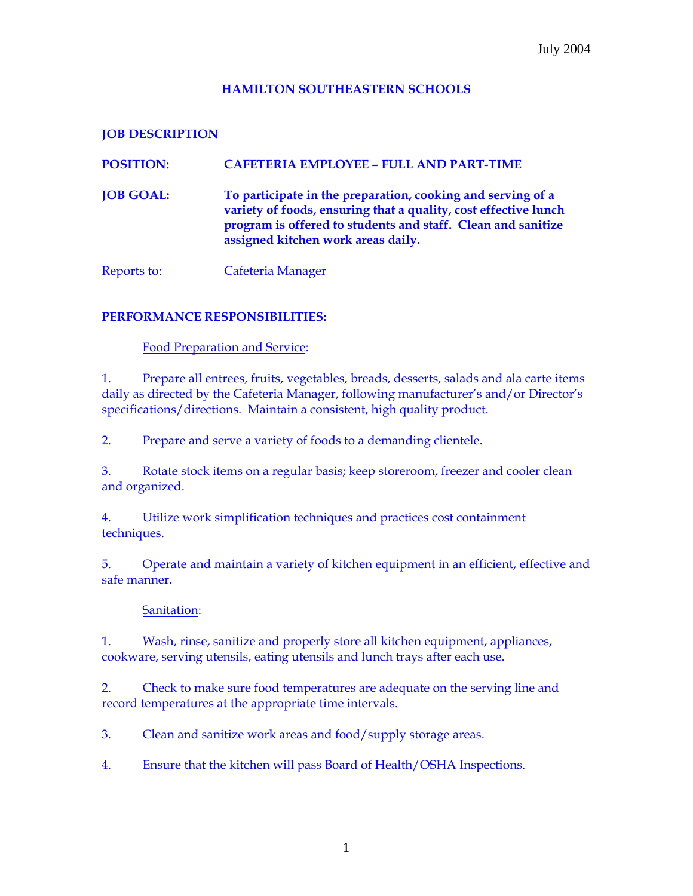#### **HAMILTON SOUTHEASTERN SCHOOLS**

## **JOB DESCRIPTION**

# **POSITION: CAFETERIA EMPLOYEE – FULL AND PART-TIME JOB GOAL: To participate in the preparation, cooking and serving of a variety of foods, ensuring that a quality, cost effective lunch program is offered to students and staff. Clean and sanitize assigned kitchen work areas daily.**  Reports to: Cafeteria Manager

## **PERFORMANCE RESPONSIBILITIES:**

### Food Preparation and Service:

1. Prepare all entrees, fruits, vegetables, breads, desserts, salads and ala carte items daily as directed by the Cafeteria Manager, following manufacturer's and/or Director's specifications/directions. Maintain a consistent, high quality product.

2. Prepare and serve a variety of foods to a demanding clientele.

3. Rotate stock items on a regular basis; keep storeroom, freezer and cooler clean and organized.

4. Utilize work simplification techniques and practices cost containment techniques.

5. Operate and maintain a variety of kitchen equipment in an efficient, effective and safe manner.

### Sanitation:

1. Wash, rinse, sanitize and properly store all kitchen equipment, appliances, cookware, serving utensils, eating utensils and lunch trays after each use.

2. Check to make sure food temperatures are adequate on the serving line and record temperatures at the appropriate time intervals.

3. Clean and sanitize work areas and food/supply storage areas.

4. Ensure that the kitchen will pass Board of Health/OSHA Inspections.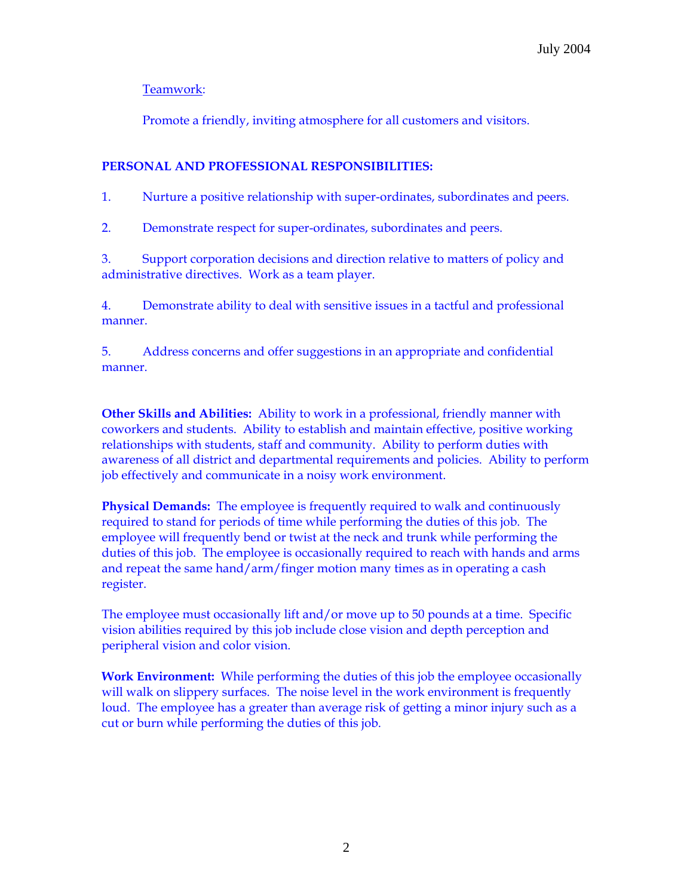## Teamwork:

Promote a friendly, inviting atmosphere for all customers and visitors.

## **PERSONAL AND PROFESSIONAL RESPONSIBILITIES:**

1. Nurture a positive relationship with super-ordinates, subordinates and peers.

2. Demonstrate respect for super-ordinates, subordinates and peers.

3. Support corporation decisions and direction relative to matters of policy and administrative directives. Work as a team player.

4. Demonstrate ability to deal with sensitive issues in a tactful and professional manner.

5. Address concerns and offer suggestions in an appropriate and confidential manner.

**Other Skills and Abilities:** Ability to work in a professional, friendly manner with coworkers and students. Ability to establish and maintain effective, positive working relationships with students, staff and community. Ability to perform duties with awareness of all district and departmental requirements and policies. Ability to perform job effectively and communicate in a noisy work environment.

**Physical Demands:** The employee is frequently required to walk and continuously required to stand for periods of time while performing the duties of this job. The employee will frequently bend or twist at the neck and trunk while performing the duties of this job. The employee is occasionally required to reach with hands and arms and repeat the same hand/arm/finger motion many times as in operating a cash register.

The employee must occasionally lift and/or move up to 50 pounds at a time. Specific vision abilities required by this job include close vision and depth perception and peripheral vision and color vision.

**Work Environment:** While performing the duties of this job the employee occasionally will walk on slippery surfaces. The noise level in the work environment is frequently loud. The employee has a greater than average risk of getting a minor injury such as a cut or burn while performing the duties of this job.